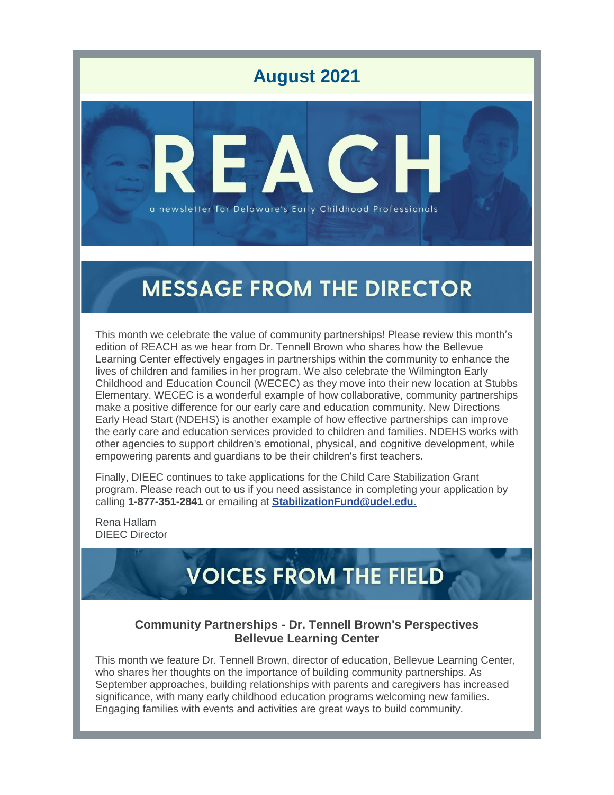

## **MESSAGE FROM THE DIRECTOR**

This month we celebrate the value of community partnerships! Please review this month's edition of REACH as we hear from Dr. Tennell Brown who shares how the Bellevue Learning Center effectively engages in partnerships within the community to enhance the lives of children and families in her program. We also celebrate the Wilmington Early Childhood and Education Council (WECEC) as they move into their new location at Stubbs Elementary. WECEC is a wonderful example of how collaborative, community partnerships make a positive difference for our early care and education community. New Directions Early Head Start (NDEHS) is another example of how effective partnerships can improve the early care and education services provided to children and families. NDEHS works with other agencies to support children's emotional, physical, and cognitive development, while empowering parents and guardians to be their children's first teachers.

Finally, DIEEC continues to take applications for the Child Care Stabilization Grant program. Please reach out to us if you need assistance in completing your application by calling **1-877-351-2841** or emailing at **[StabilizationFund@udel.edu.](mailto:StabilizationFund@udel.edu)**

Rena Hallam DIEEC Director

# **VOICES FROM THE FIELD**

### **Community Partnerships - Dr. Tennell Brown's Perspectives Bellevue Learning Center**

This month we feature Dr. Tennell Brown, director of education, Bellevue Learning Center, who shares her thoughts on the importance of building community partnerships. As September approaches, building relationships with parents and caregivers has increased significance, with many early childhood education programs welcoming new families. Engaging families with events and activities are great ways to build community.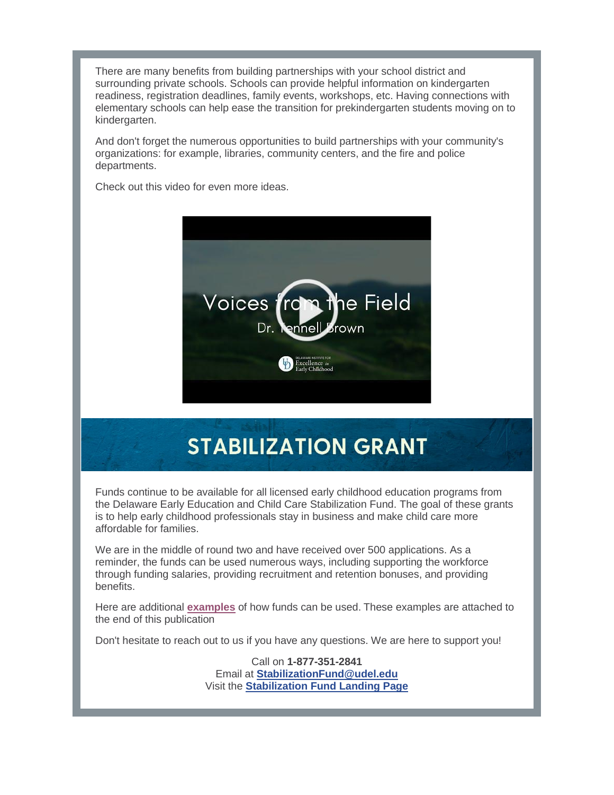There are many benefits from building partnerships with your school district and surrounding private schools. Schools can provide helpful information on kindergarten readiness, registration deadlines, family events, workshops, etc. Having connections with elementary schools can help ease the transition for prekindergarten students moving on to kindergarten.

And don't forget the numerous opportunities to build partnerships with your community's organizations: for example, libraries, community centers, and the fire and police departments.

Check out this video for even more ideas.



# **STABILIZATION GRANT**

Funds continue to be available for all licensed early childhood education programs from the Delaware Early Education and Child Care Stabilization Fund. The goal of these grants is to help early childhood professionals stay in business and make child care more affordable for families.

We are in the middle of round two and have received over 500 applications. As a reminder, the funds can be used numerous ways, including supporting the workforce through funding salaries, providing recruitment and retention bonuses, and providing benefits.

Here are additional **[examples](https://r20.rs6.net/tn.jsp?f=0019HqTGvHkslYk-CDo0F0v1zQsMh8B5_atx5KnowJuplzHxhqZp4MeTU6CPfSDwV3FAe7GJalIAB_YoFMYqwGP-EWH8gggXklsm_q_y3Geaj_FMdiS_qmKs65-1AKuz3GgGah4rbNpUp8XECerMZvvRZOV9wTBRXvp-0-aXRQebvqgh2Y7_5WXApiOPg0kFUe91AvCwK8mBIk=&c=&ch=)** of how funds can be used. These examples are attached to the end of this publication

Don't hesitate to reach out to us if you have any questions. We are here to support you!

Call on **1-877-351-2841**  Email at **[StabilizationFund@udel.edu](mailto:StabilizationFund@udel.edu)** Visit the **[Stabilization Fund Landing Page](https://r20.rs6.net/tn.jsp?f=0019HqTGvHkslYk-CDo0F0v1zQsMh8B5_atx5KnowJuplzHxhqZp4MeTfUj2h6Nx8S6IsdomzeQG0GvFz9v1ftdY8qpDee6kelTvGVXw3CcqxuVJsqG51mEAnbweuZzQfy6EZmSyZj_zenyiSvxKmFmjI_1pRr0FopMnGy5g3lCN4anAPXZG7seT2FminUQC_V9PtPooTvGsHmvjQUmx393HszT_hU01OKnC9bCG7B2cNhxd45mPO9IYQ==&c=&ch=)**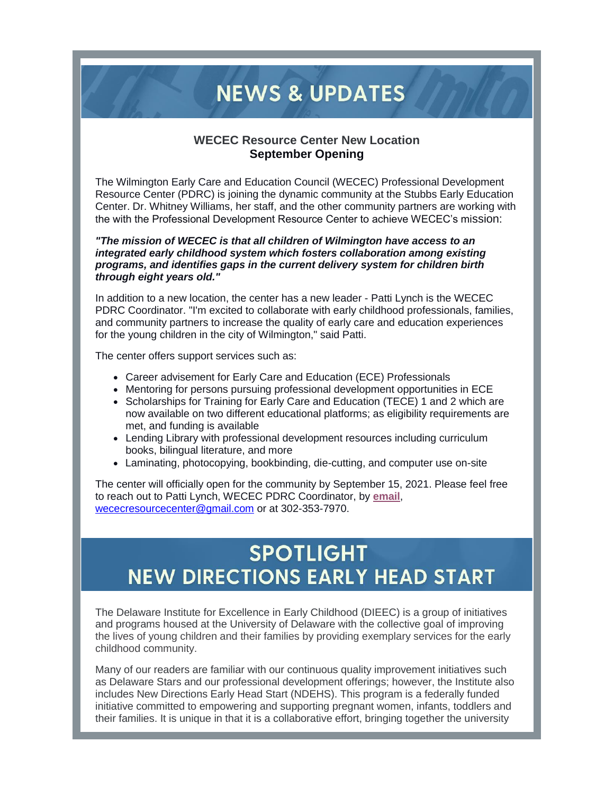## **NEWS & UPDATES**

#### **WECEC Resource Center New Location September Opening**

The Wilmington Early Care and Education Council (WECEC) Professional Development Resource Center (PDRC) is joining the dynamic community at the Stubbs Early Education Center. Dr. Whitney Williams, her staff, and the other community partners are working with the with the Professional Development Resource Center to achieve WECEC's mission:

*"The mission of WECEC is that all children of Wilmington have access to an integrated early childhood system which fosters collaboration among existing programs, and identifies gaps in the current delivery system for children birth through eight years old."*

In addition to a new location, the center has a new leader - Patti Lynch is the WECEC PDRC Coordinator. "I'm excited to collaborate with early childhood professionals, families, and community partners to increase the quality of early care and education experiences for the young children in the city of Wilmington," said Patti.

The center offers support services such as:

- Career advisement for Early Care and Education (ECE) Professionals
- Mentoring for persons pursuing professional development opportunities in ECE
- Scholarships for Training for Early Care and Education (TECE) 1 and 2 which are now available on two different educational platforms; as eligibility requirements are met, and funding is available
- Lending Library with professional development resources including curriculum books, bilingual literature, and more
- Laminating, photocopying, bookbinding, die-cutting, and computer use on-site

The center will officially open for the community by September 15, 2021. Please feel free to reach out to Patti Lynch, WECEC PDRC Coordinator, by **[email](mailto:wececresourcecenter@gmail.com)**, [wececresourcecenter@gmail.com](mailto:wececresourcecenter@gmail.com) or at 302-353-7970.

### **SPOTLIGHT NEW DIRECTIONS EARLY HEAD START**

The Delaware Institute for Excellence in Early Childhood (DIEEC) is a group of initiatives and programs housed at the University of Delaware with the collective goal of improving the lives of young children and their families by providing exemplary services for the early childhood community.

Many of our readers are familiar with our continuous quality improvement initiatives such as Delaware Stars and our professional development offerings; however, the Institute also includes New Directions Early Head Start (NDEHS). This program is a federally funded initiative committed to empowering and supporting pregnant women, infants, toddlers and their families. It is unique in that it is a collaborative effort, bringing together the university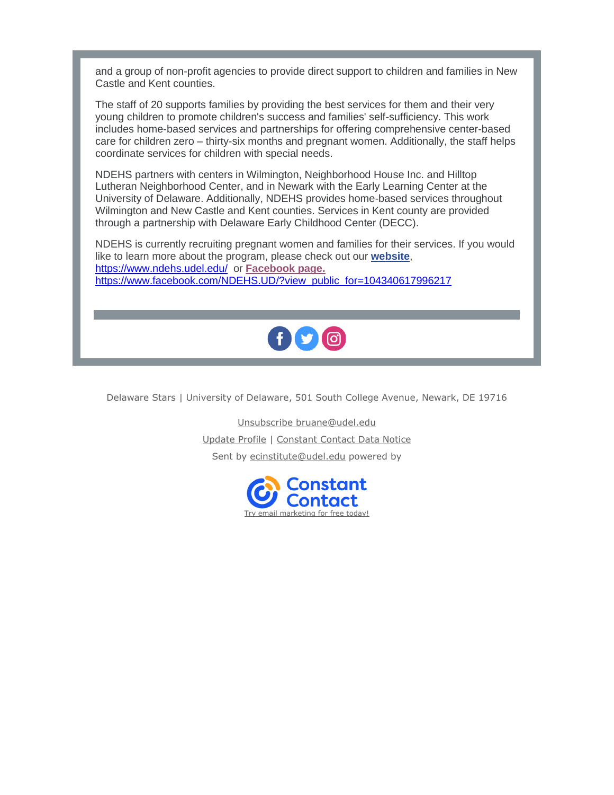and a group of non-profit agencies to provide direct support to children and families in New Castle and Kent counties.

The staff of 20 supports families by providing the best services for them and their very young children to promote children's success and families' self-sufficiency. This work includes home-based services and partnerships for offering comprehensive center-based care for children zero – thirty-six months and pregnant women. Additionally, the staff helps coordinate services for children with special needs.

NDEHS partners with centers in Wilmington, Neighborhood House Inc. and Hilltop Lutheran Neighborhood Center, and in Newark with the Early Learning Center at the University of Delaware. Additionally, NDEHS provides home-based services throughout Wilmington and New Castle and Kent counties. Services in Kent county are provided through a partnership with Delaware Early Childhood Center (DECC).

NDEHS is currently recruiting pregnant women and families for their services. If you would like to learn more about the program, please check out our **[website](https://r20.rs6.net/tn.jsp?f=0019HqTGvHkslYk-CDo0F0v1zQsMh8B5_atx5KnowJuplzHxhqZp4MeTZJVO-kik-WfAi6qmT33KzwrpkIULz3vm0SvDq4zgnAxMV5aHfHEE0vUXwH8u3Y2LRY5y66F2Z629MqUydw96JFbC2FUC7jQcQ==&c=&ch=)**, <https://www.ndehs.udel.edu/> or **[Facebook page.](https://r20.rs6.net/tn.jsp?f=0019HqTGvHkslYk-CDo0F0v1zQsMh8B5_atx5KnowJuplzHxhqZp4MeTYXb2kSyNFJt_vP40TV2Xjy_kcSEYHz0JBPj4I8_K8b6ARPv3HJvTcI-QenAaP1h1DGJn2uaygNaecwIXqWEPEEOj1x4Er3GvZWc6xTkyi-LpOsaDrlBQeYiqH0xP43XKHJbHhqfGxlqHBh9ENYrTDcLVnsF68Py3g==&c=&ch=)** [https://www.facebook.com/NDEHS.UD/?view\\_public\\_for=104340617996217](https://www.facebook.com/NDEHS.UD/?view_public_for=104340617996217)



Delaware Stars | University of Delaware, 501 South College Avenue, Newark, DE 19716

[Unsubscribe bruane@udel.edu](https://visitor.constantcontact.com/do?p=un&m=0011ljatSZMOepwp_eE6BjjIg%3D&ch=&ca=bc22f842-a6f7-49a1-9d81-e6fd610d8326) [Update Profile](https://visitor.constantcontact.com/do?p=oo&m=0011ljatSZMOepwp_eE6BjjIg%3D&ch=&ca=bc22f842-a6f7-49a1-9d81-e6fd610d8326) | [Constant Contact Data Notice](https://www.constantcontact.com/legal/customer-contact-data-notice) Sent by [ecinstitute@udel.edu](mailto:ecinstitute@udel.edu) powered by

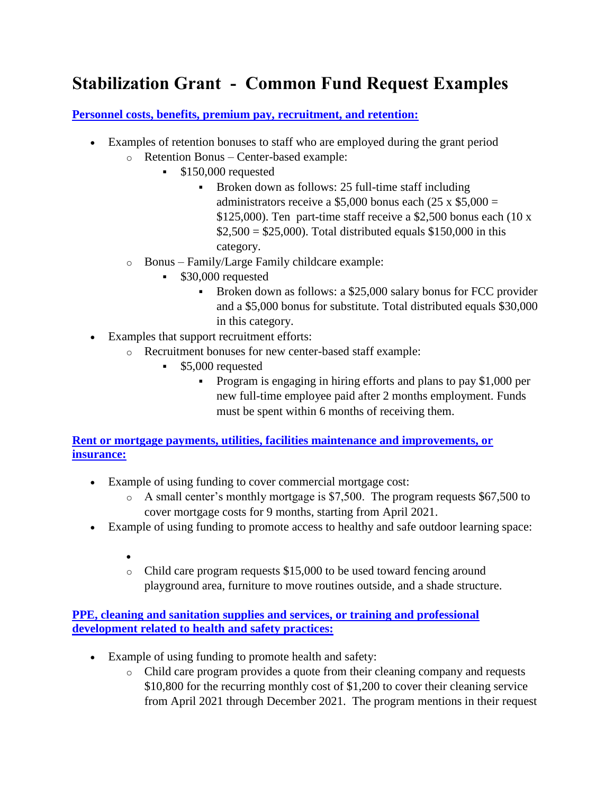### **Stabilization Grant - Common Fund Request Examples**

**[Personnel costs, benefits, premium pay, recruitment, and retention:](https://www.delawarestars.udel.edu/common-fund-request-examples/#ddl-panel_97_60d4b528c87e2)**

- Examples of retention bonuses to staff who are employed during the grant period
	- o Retention Bonus Center-based example:
		- \$150,000 requested
			- **Broken down as follows: 25 full-time staff including** administrators receive a \$5,000 bonus each  $(25 \times $5,000 =$ \$125,000). Ten part-time staff receive a \$2,500 bonus each (10 x  $$2,500 = $25,000$ . Total distributed equals \$150,000 in this category.
	- o Bonus Family/Large Family childcare example:
		- \$30,000 requested
			- **Broken down as follows: a \$25,000 salary bonus for FCC provider** and a \$5,000 bonus for substitute. Total distributed equals \$30,000 in this category.
- Examples that support recruitment efforts:
	- o Recruitment bonuses for new center-based staff example:
		- **55,000** requested
			- Program is engaging in hiring efforts and plans to pay \$1,000 per new full-time employee paid after 2 months employment. Funds must be spent within 6 months of receiving them.

**[Rent or mortgage payments, utilities, facilities maintenance and improvements, or](https://www.delawarestars.udel.edu/common-fund-request-examples/#ddl-panel_161_60d4b528c882a)  [insurance:](https://www.delawarestars.udel.edu/common-fund-request-examples/#ddl-panel_161_60d4b528c882a)**

- Example of using funding to cover commercial mortgage cost:
	- o A small center's monthly mortgage is \$7,500. The program requests \$67,500 to cover mortgage costs for 9 months, starting from April 2021.
- Example of using funding to promote access to healthy and safe outdoor learning space:
	- $\bullet$
	- o Child care program requests \$15,000 to be used toward fencing around playground area, furniture to move routines outside, and a shade structure.

**[PPE, cleaning and sanitation supplies and services, or training and professional](https://www.delawarestars.udel.edu/common-fund-request-examples/#ddl-panel_228_60d4b528c885d)  [development related to health and safety practices:](https://www.delawarestars.udel.edu/common-fund-request-examples/#ddl-panel_228_60d4b528c885d)**

- Example of using funding to promote health and safety:
	- o Child care program provides a quote from their cleaning company and requests \$10,800 for the recurring monthly cost of \$1,200 to cover their cleaning service from April 2021 through December 2021. The program mentions in their request